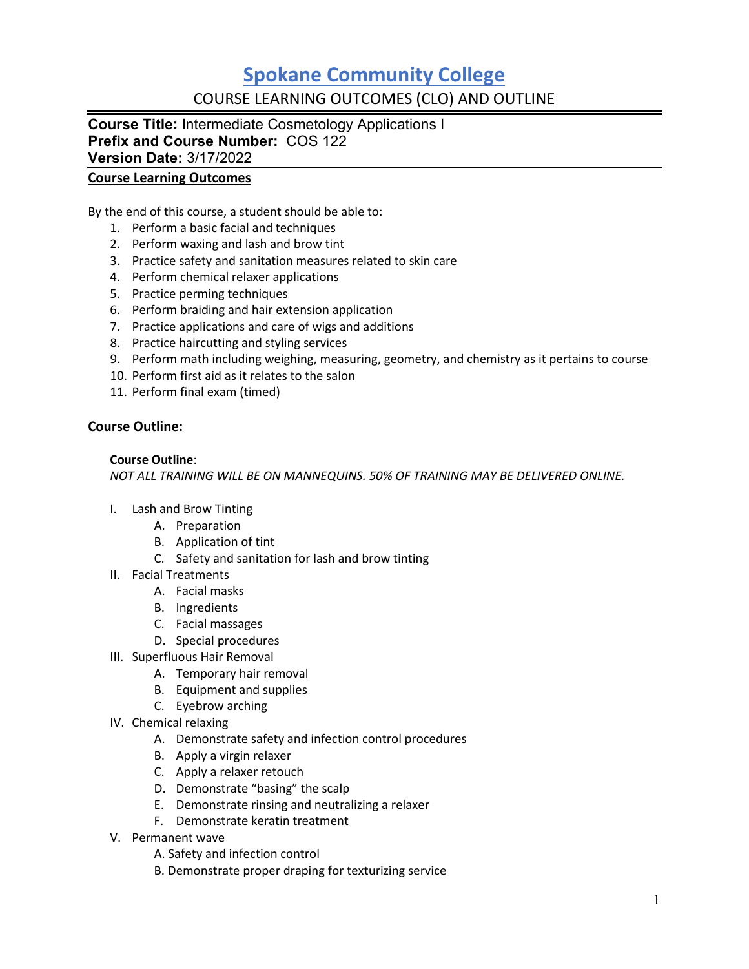## **Spokane Community College** COURSE LEARNING OUTCOMES (CLO) AND OUTLINE

**Course Title:** Intermediate Cosmetology Applications I **Prefix and Course Number:** COS 122 **Version Date:** 3/17/2022

#### **Course Learning Outcomes**

By the end of this course, a student should be able to:

- 1. Perform a basic facial and techniques
- 2. Perform waxing and lash and brow tint
- 3. Practice safety and sanitation measures related to skin care
- 4. Perform chemical relaxer applications
- 5. Practice perming techniques
- 6. Perform braiding and hair extension application
- 7. Practice applications and care of wigs and additions
- 8. Practice haircutting and styling services
- 9. Perform math including weighing, measuring, geometry, and chemistry as it pertains to course
- 10. Perform first aid as it relates to the salon
- 11. Perform final exam (timed)

#### **Course Outline:**

#### **Course Outline**:

*NOT ALL TRAINING WILL BE ON MANNEQUINS. 50% OF TRAINING MAY BE DELIVERED ONLINE.*

- I. Lash and Brow Tinting
	- A. Preparation
	- B. Application of tint
	- C. Safety and sanitation for lash and brow tinting
- II. Facial Treatments
	- A. Facial masks
	- B. Ingredients
	- C. Facial massages
	- D. Special procedures
- III. Superfluous Hair Removal
	- A. Temporary hair removal
	- B. Equipment and supplies
	- C. Eyebrow arching
- IV. Chemical relaxing
	- A. Demonstrate safety and infection control procedures
	- B. Apply a virgin relaxer
	- C. Apply a relaxer retouch
	- D. Demonstrate "basing" the scalp
	- E. Demonstrate rinsing and neutralizing a relaxer
	- F. Demonstrate keratin treatment
- V. Permanent wave
	- A. Safety and infection control
	- B. Demonstrate proper draping for texturizing service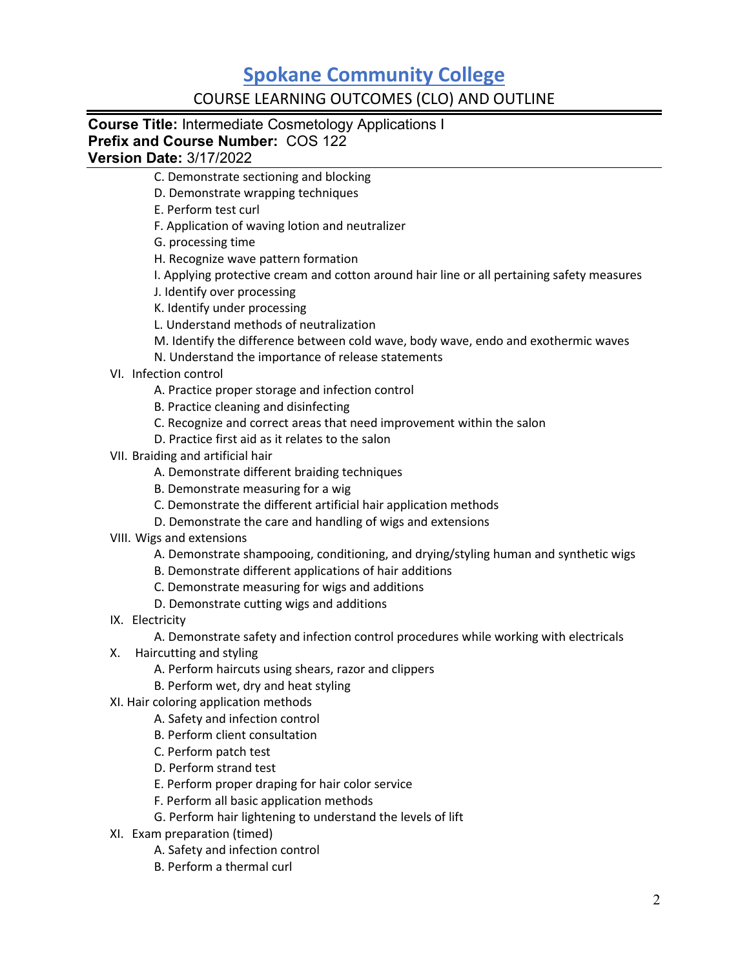# **Spokane Community College**

### COURSE LEARNING OUTCOMES (CLO) AND OUTLINE

**Course Title:** Intermediate Cosmetology Applications I **Prefix and Course Number:** COS 122

**Version Date:** 3/17/2022

- C. Demonstrate sectioning and blocking
- D. Demonstrate wrapping techniques
- E. Perform test curl
- F. Application of waving lotion and neutralizer
- G. processing time
- H. Recognize wave pattern formation
- I. Applying protective cream and cotton around hair line or all pertaining safety measures
- J. Identify over processing
- K. Identify under processing
- L. Understand methods of neutralization
- M. Identify the difference between cold wave, body wave, endo and exothermic waves
- N. Understand the importance of release statements
- VI. Infection control
	- A. Practice proper storage and infection control
	- B. Practice cleaning and disinfecting
	- C. Recognize and correct areas that need improvement within the salon
	- D. Practice first aid as it relates to the salon
- VII. Braiding and artificial hair
	- A. Demonstrate different braiding techniques
	- B. Demonstrate measuring for a wig
	- C. Demonstrate the different artificial hair application methods
	- D. Demonstrate the care and handling of wigs and extensions
- VIII. Wigs and extensions
	- A. Demonstrate shampooing, conditioning, and drying/styling human and synthetic wigs
	- B. Demonstrate different applications of hair additions
	- C. Demonstrate measuring for wigs and additions
	- D. Demonstrate cutting wigs and additions
- IX. Electricity
	- A. Demonstrate safety and infection control procedures while working with electricals
- X. Haircutting and styling
	- A. Perform haircuts using shears, razor and clippers
	- B. Perform wet, dry and heat styling
- XI. Hair coloring application methods
	- A. Safety and infection control
	- B. Perform client consultation
	- C. Perform patch test
	- D. Perform strand test
	- E. Perform proper draping for hair color service
	- F. Perform all basic application methods
	- G. Perform hair lightening to understand the levels of lift
- XI. Exam preparation (timed)
	- A. Safety and infection control
	- B. Perform a thermal curl